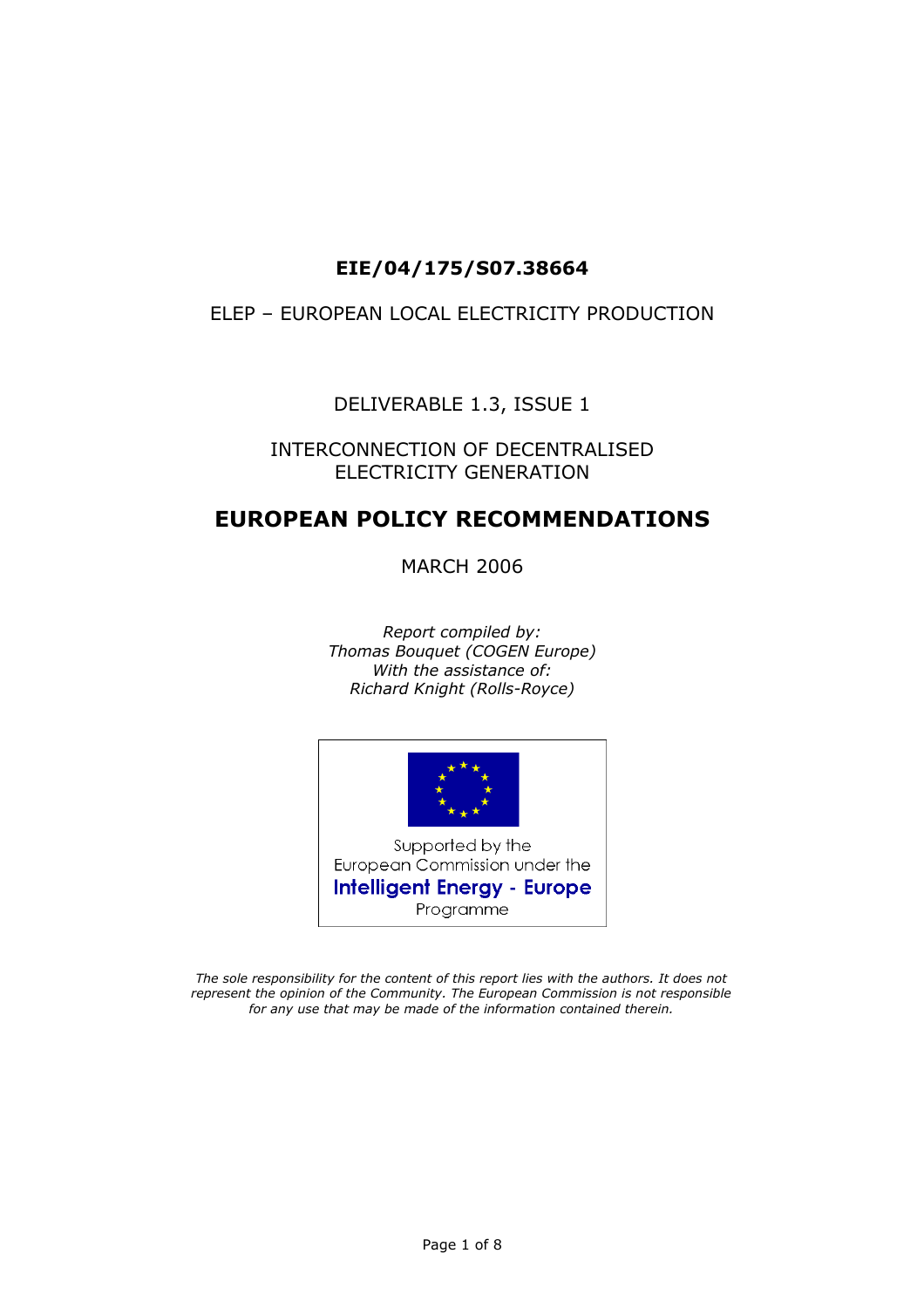## **EIE/04/175/S07.38664**

### ELEP – EUROPEAN LOCAL ELECTRICITY PRODUCTION

DELIVERABLE 1.3, ISSUE 1

### INTERCONNECTION OF DECENTRALISED ELECTRICITY GENERATION

## **EUROPEAN POLICY RECOMMENDATIONS**

MARCH 2006

*Report compiled by: Thomas Bouquet (COGEN Europe) With the assistance of: Richard Knight (Rolls-Royce)* 



*The sole responsibility for the content of this report lies with the authors. It does not represent the opinion of the Community. The European Commission is not responsible for any use that may be made of the information contained therein.*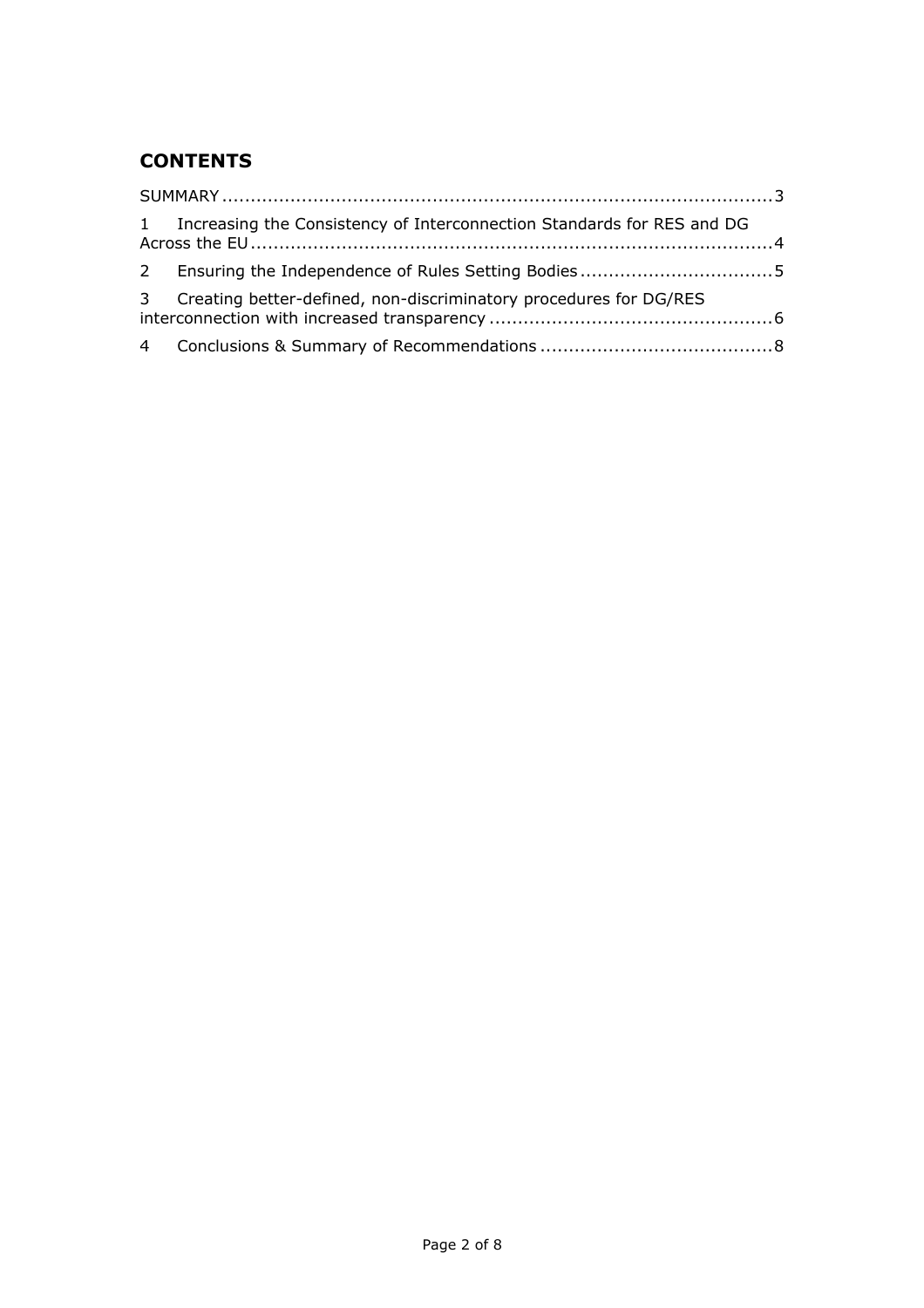# **CONTENTS**

| 1 Increasing the Consistency of Interconnection Standards for RES and DG |  |
|--------------------------------------------------------------------------|--|
|                                                                          |  |
| 3 Creating better-defined, non-discriminatory procedures for DG/RES      |  |
|                                                                          |  |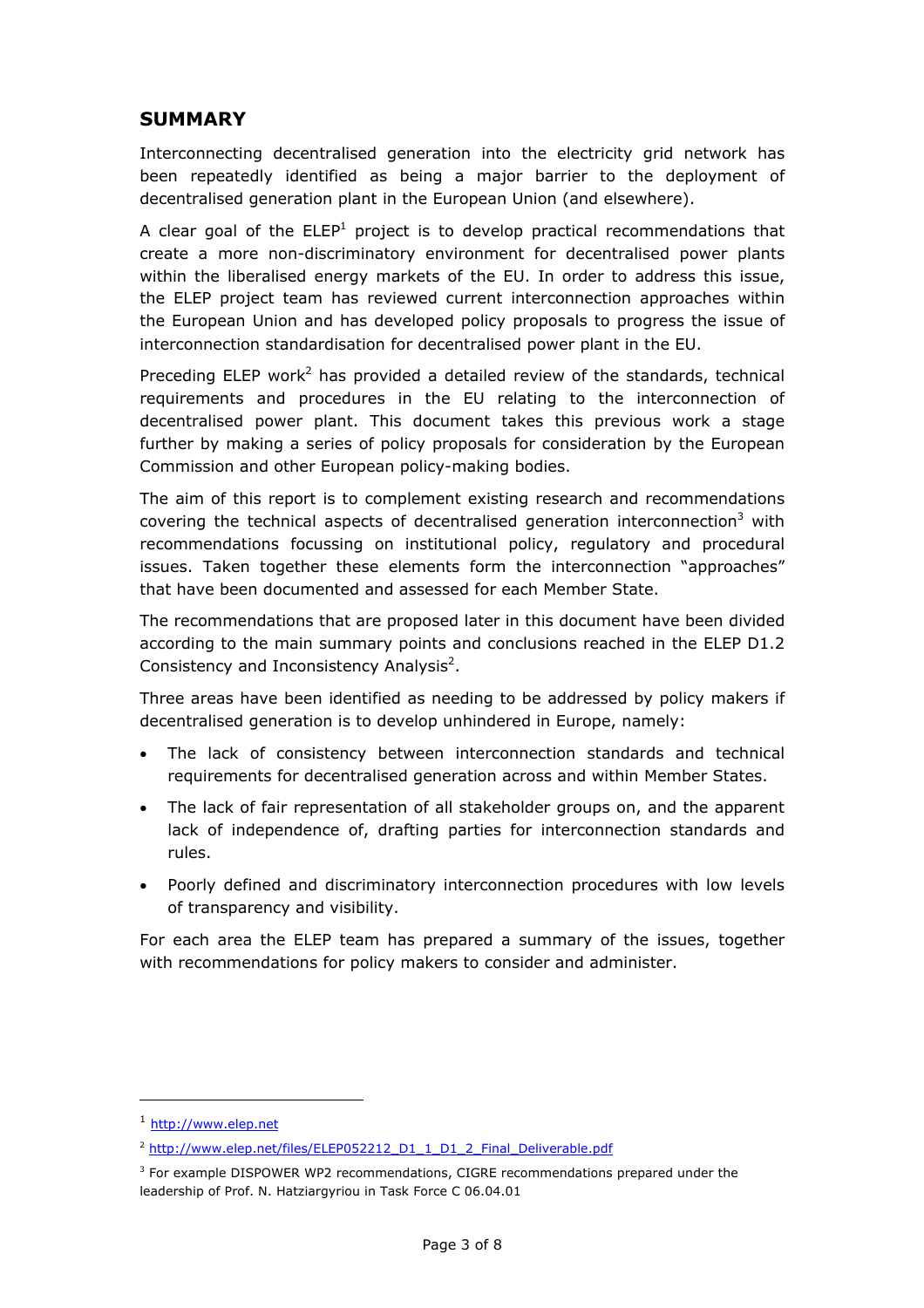### <span id="page-2-0"></span>**SUMMARY**

Interconnecting decentralised generation into the electricity grid network has been repeatedly identified as being a major barrier to the deployment of decentralised generation plant in the European Union (and elsewhere).

A clear goal of the  $ELEP<sup>1</sup>$  $ELEP<sup>1</sup>$  $ELEP<sup>1</sup>$  project is to develop practical recommendations that create a more non-discriminatory environment for decentralised power plants within the liberalised energy markets of the EU. In order to address this issue, the ELEP project team has reviewed current interconnection approaches within the European Union and has developed policy proposals to progress the issue of interconnection standardisation for decentralised power plant in the EU.

<span id="page-2-1"></span>Preceding ELEP work<sup>[2](#page-2-3)</sup> has provided a detailed review of the standards, technical requirements and procedures in the EU relating to the interconnection of decentralised power plant. This document takes this previous work a stage further by making a series of policy proposals for consideration by the European Commission and other European policy-making bodies.

The aim of this report is to complement existing research and recommendations covering the technical aspects of decentralised generation interconnection<sup>[3](#page-2-4)</sup> with recommendations focussing on institutional policy, regulatory and procedural issues. Taken together these elements form the interconnection "approaches" that have been documented and assessed for each Member State.

The recommendations that are proposed later in this document have been divided according to the main summary points and conclusions reached in the ELEP D1.2 Consistency and Inconsistency Analysis<sup>2</sup>.

Three areas have been identified as needing to be addressed by policy makers if decentralised generation is to develop unhindered in Europe, namely:

- The lack of consistency between interconnection standards and technical requirements for decentralised generation across and within Member States.
- The lack of fair representation of all stakeholder groups on, and the apparent lack of independence of, drafting parties for interconnection standards and rules.
- Poorly defined and discriminatory interconnection procedures with low levels of transparency and visibility.

For each area the ELEP team has prepared a summary of the issues, together with recommendations for policy makers to consider and administer.

 $\overline{a}$ 

<span id="page-2-2"></span><sup>1</sup> [http://www.elep.net](http://www.elep.net/)

<span id="page-2-3"></span><sup>&</sup>lt;sup>2</sup> [http://www.elep.net/files/ELEP052212\\_D1\\_1\\_D1\\_2\\_Final\\_Deliverable.pdf](http://www.elep.net/files/ELEP052212_D1_1_D1_2_Final_Deliverable.pdf)

<span id="page-2-4"></span><sup>&</sup>lt;sup>3</sup> For example DISPOWER WP2 recommendations, CIGRE recommendations prepared under the leadership of Prof. N. Hatziargyriou in Task Force C 06.04.01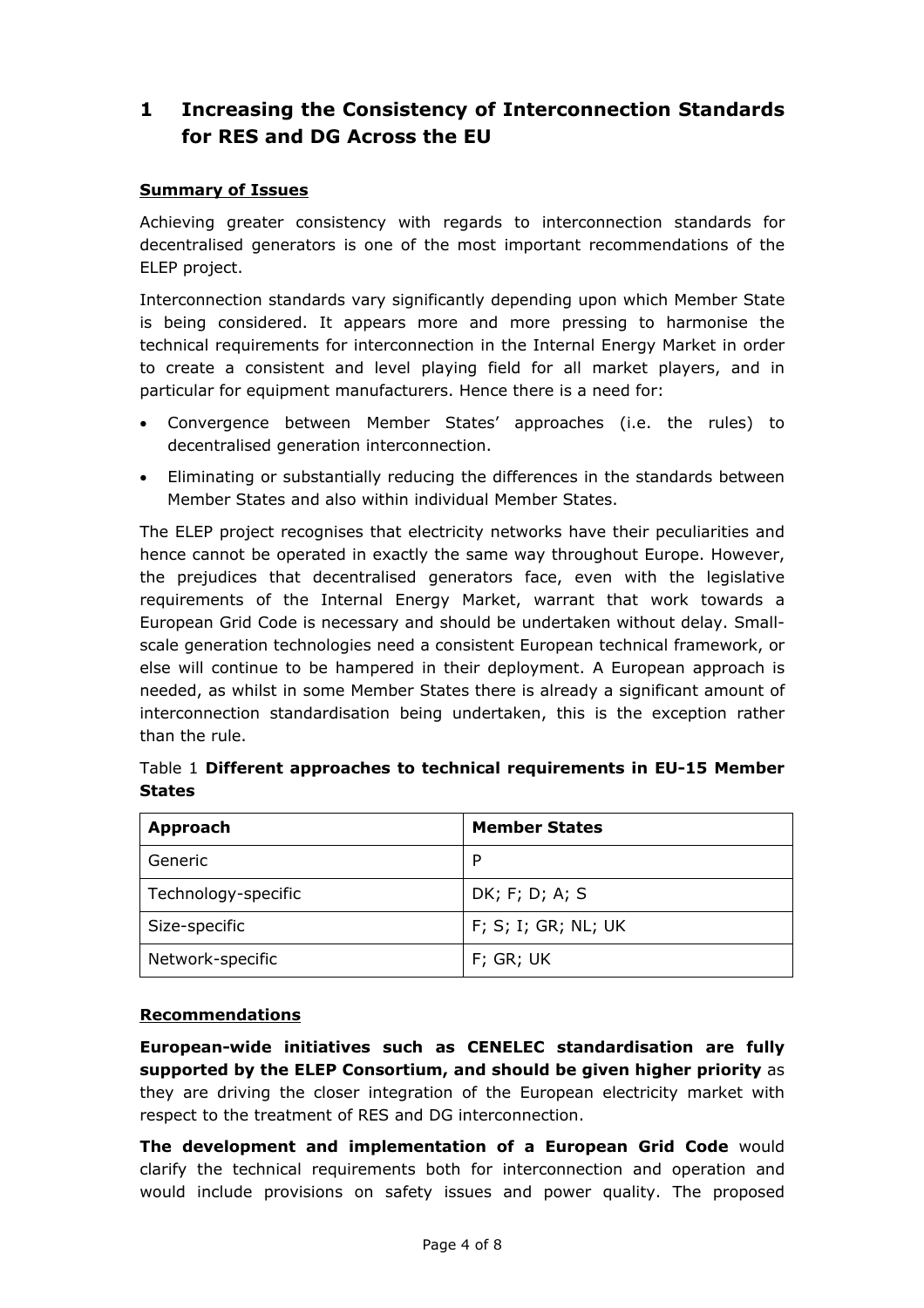# <span id="page-3-0"></span>**1 Increasing the Consistency of Interconnection Standards for RES and DG Across the EU**

#### **Summary of Issues**

Achieving greater consistency with regards to interconnection standards for decentralised generators is one of the most important recommendations of the ELEP project.

Interconnection standards vary significantly depending upon which Member State is being considered. It appears more and more pressing to harmonise the technical requirements for interconnection in the Internal Energy Market in order to create a consistent and level playing field for all market players, and in particular for equipment manufacturers. Hence there is a need for:

- Convergence between Member States' approaches (i.e. the rules) to decentralised generation interconnection.
- Eliminating or substantially reducing the differences in the standards between Member States and also within individual Member States.

The ELEP project recognises that electricity networks have their peculiarities and hence cannot be operated in exactly the same way throughout Europe. However, the prejudices that decentralised generators face, even with the legislative requirements of the Internal Energy Market, warrant that work towards a European Grid Code is necessary and should be undertaken without delay. Smallscale generation technologies need a consistent European technical framework, or else will continue to be hampered in their deployment. A European approach is needed, as whilst in some Member States there is already a significant amount of interconnection standardisation being undertaken, this is the exception rather than the rule.

| Approach            | <b>Member States</b> |
|---------------------|----------------------|
| Generic             | P                    |
| Technology-specific | DK; F; D; A; S       |
| Size-specific       | F; S; I; GR; NL; UK  |
| Network-specific    | $F$ ; GR; UK         |

Table 1 **Different approaches to technical requirements in EU-15 Member States**

#### **Recommendations**

**European-wide initiatives such as CENELEC standardisation are fully supported by the ELEP Consortium, and should be given higher priority** as they are driving the closer integration of the European electricity market with respect to the treatment of RES and DG interconnection.

**The development and implementation of a European Grid Code** would clarify the technical requirements both for interconnection and operation and would include provisions on safety issues and power quality. The proposed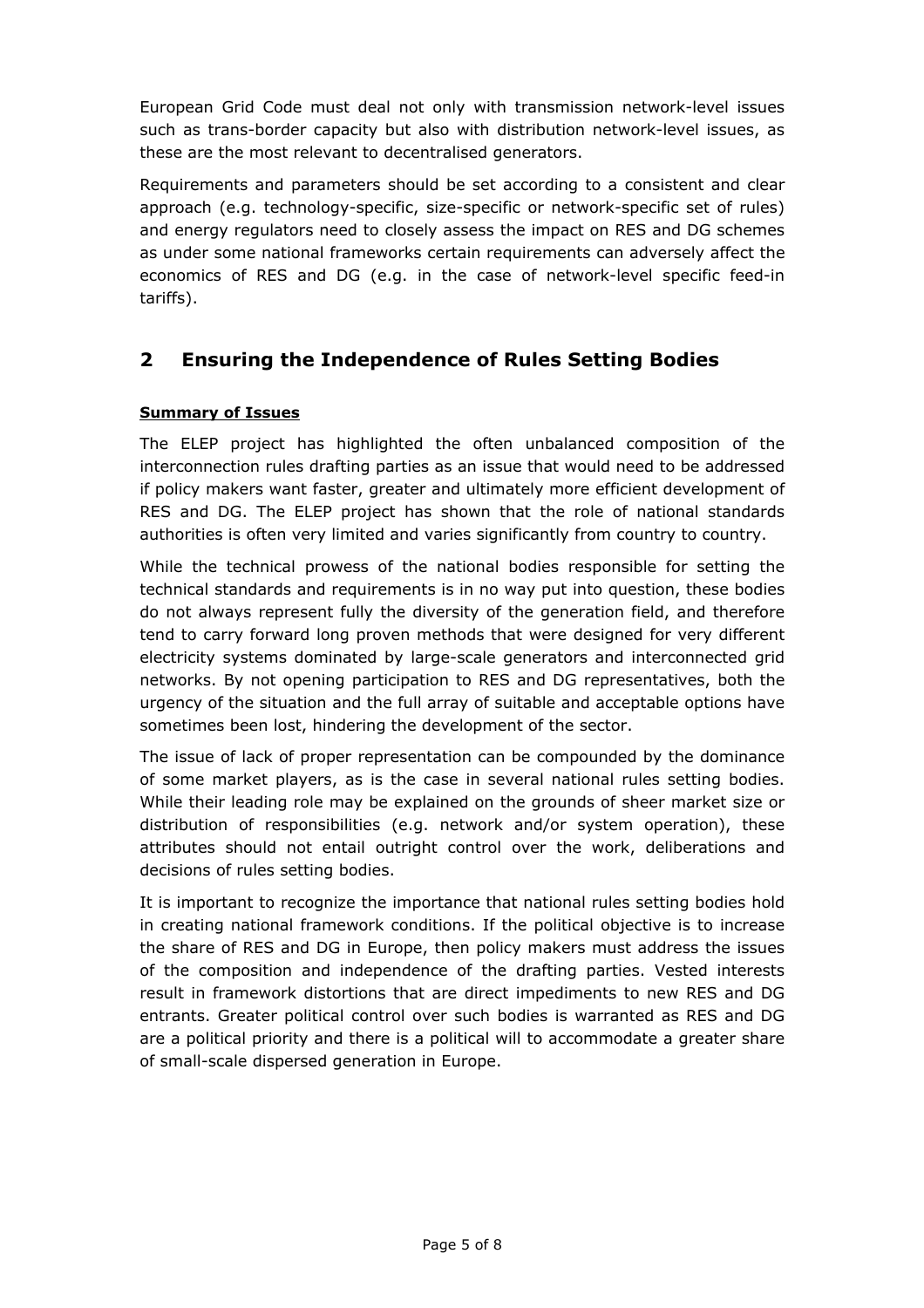<span id="page-4-0"></span>European Grid Code must deal not only with transmission network-level issues such as trans-border capacity but also with distribution network-level issues, as these are the most relevant to decentralised generators.

Requirements and parameters should be set according to a consistent and clear approach (e.g. technology-specific, size-specific or network-specific set of rules) and energy regulators need to closely assess the impact on RES and DG schemes as under some national frameworks certain requirements can adversely affect the economics of RES and DG (e.g. in the case of network-level specific feed-in tariffs).

## **2 Ensuring the Independence of Rules Setting Bodies**

### **Summary of Issues**

The ELEP project has highlighted the often unbalanced composition of the interconnection rules drafting parties as an issue that would need to be addressed if policy makers want faster, greater and ultimately more efficient development of RES and DG. The ELEP project has shown that the role of national standards authorities is often very limited and varies significantly from country to country.

While the technical prowess of the national bodies responsible for setting the technical standards and requirements is in no way put into question, these bodies do not always represent fully the diversity of the generation field, and therefore tend to carry forward long proven methods that were designed for very different electricity systems dominated by large-scale generators and interconnected grid networks. By not opening participation to RES and DG representatives, both the urgency of the situation and the full array of suitable and acceptable options have sometimes been lost, hindering the development of the sector.

The issue of lack of proper representation can be compounded by the dominance of some market players, as is the case in several national rules setting bodies. While their leading role may be explained on the grounds of sheer market size or distribution of responsibilities (e.g. network and/or system operation), these attributes should not entail outright control over the work, deliberations and decisions of rules setting bodies.

It is important to recognize the importance that national rules setting bodies hold in creating national framework conditions. If the political objective is to increase the share of RES and DG in Europe, then policy makers must address the issues of the composition and independence of the drafting parties. Vested interests result in framework distortions that are direct impediments to new RES and DG entrants. Greater political control over such bodies is warranted as RES and DG are a political priority and there is a political will to accommodate a greater share of small-scale dispersed generation in Europe.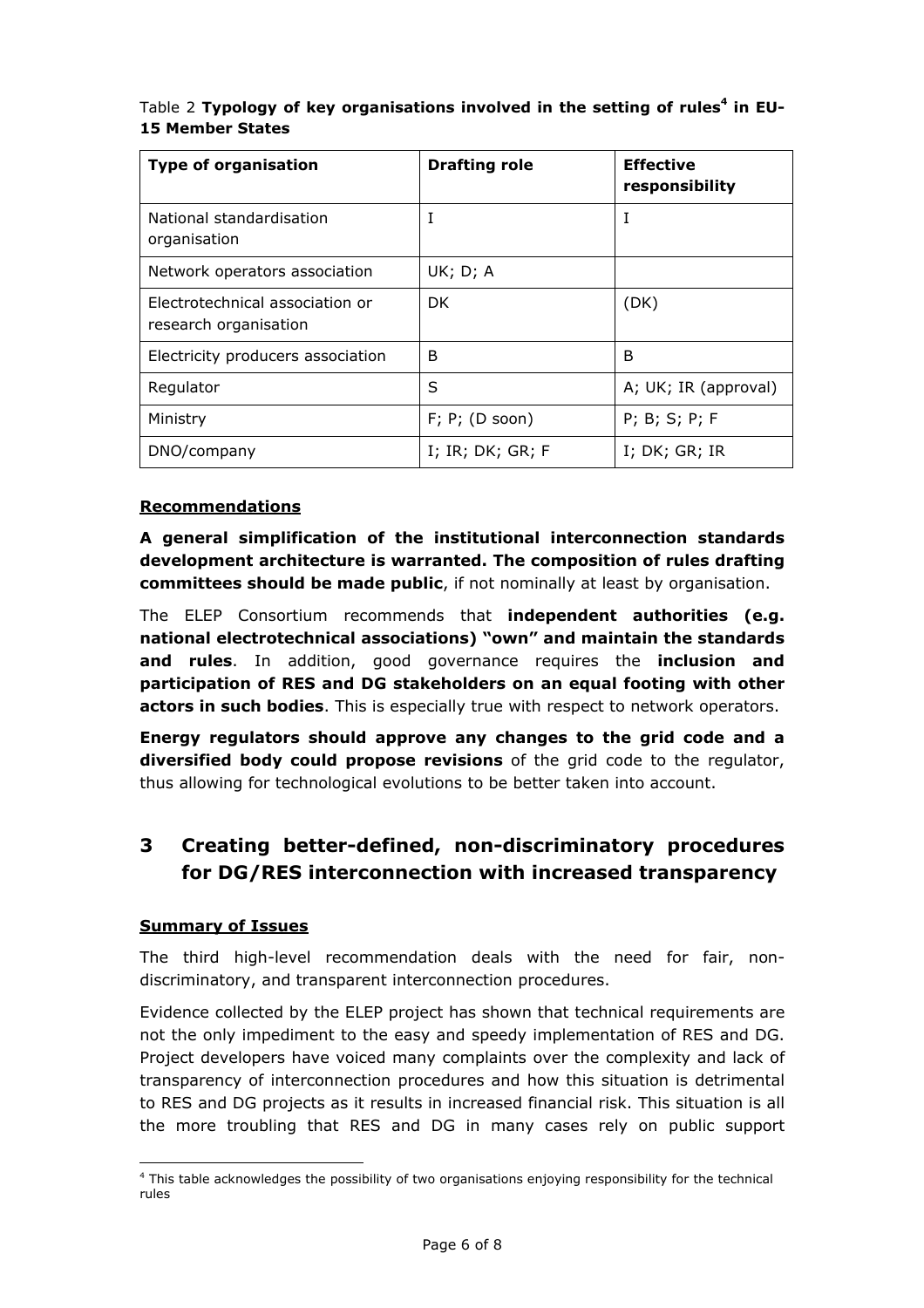<span id="page-5-0"></span>

| Table 2 Typology of key organisations involved in the setting of rules <sup>4</sup> in EU- |  |  |
|--------------------------------------------------------------------------------------------|--|--|
| <b>15 Member States</b>                                                                    |  |  |

| <b>Type of organisation</b>                              | <b>Drafting role</b>           | <b>Effective</b><br>responsibility |
|----------------------------------------------------------|--------------------------------|------------------------------------|
| National standardisation<br>organisation                 | I                              | I                                  |
| Network operators association                            | UK; D; A                       |                                    |
| Electrotechnical association or<br>research organisation | DK.                            | (DK)                               |
| Electricity producers association                        | B                              | B                                  |
| Regulator                                                | S                              | A; UK; IR (approval)               |
| Ministry                                                 | $F$ ; P; (D soon)              | $P$ ; B; S; P; F                   |
| DNO/company                                              | $I$ ; $IR$ ; $DK$ ; $GR$ ; $F$ | $I$ ; $DK$ ; $GR$ ; $IR$           |

#### **Recommendations**

**A general simplification of the institutional interconnection standards development architecture is warranted. The composition of rules drafting committees should be made public**, if not nominally at least by organisation.

The ELEP Consortium recommends that **independent authorities (e.g. national electrotechnical associations) "own" and maintain the standards and rules**. In addition, good governance requires the **inclusion and participation of RES and DG stakeholders on an equal footing with other actors in such bodies**. This is especially true with respect to network operators.

**Energy regulators should approve any changes to the grid code and a diversified body could propose revisions** of the grid code to the regulator, thus allowing for technological evolutions to be better taken into account.

## **3 Creating better-defined, non-discriminatory procedures for DG/RES interconnection with increased transparency**

#### **Summary of Issues**

 $\overline{a}$ 

The third high-level recommendation deals with the need for fair, nondiscriminatory, and transparent interconnection procedures.

Evidence collected by the ELEP project has shown that technical requirements are not the only impediment to the easy and speedy implementation of RES and DG. Project developers have voiced many complaints over the complexity and lack of transparency of interconnection procedures and how this situation is detrimental to RES and DG projects as it results in increased financial risk. This situation is all the more troubling that RES and DG in many cases rely on public support

<span id="page-5-1"></span><sup>&</sup>lt;sup>4</sup> This table acknowledges the possibility of two organisations enjoying responsibility for the technical rules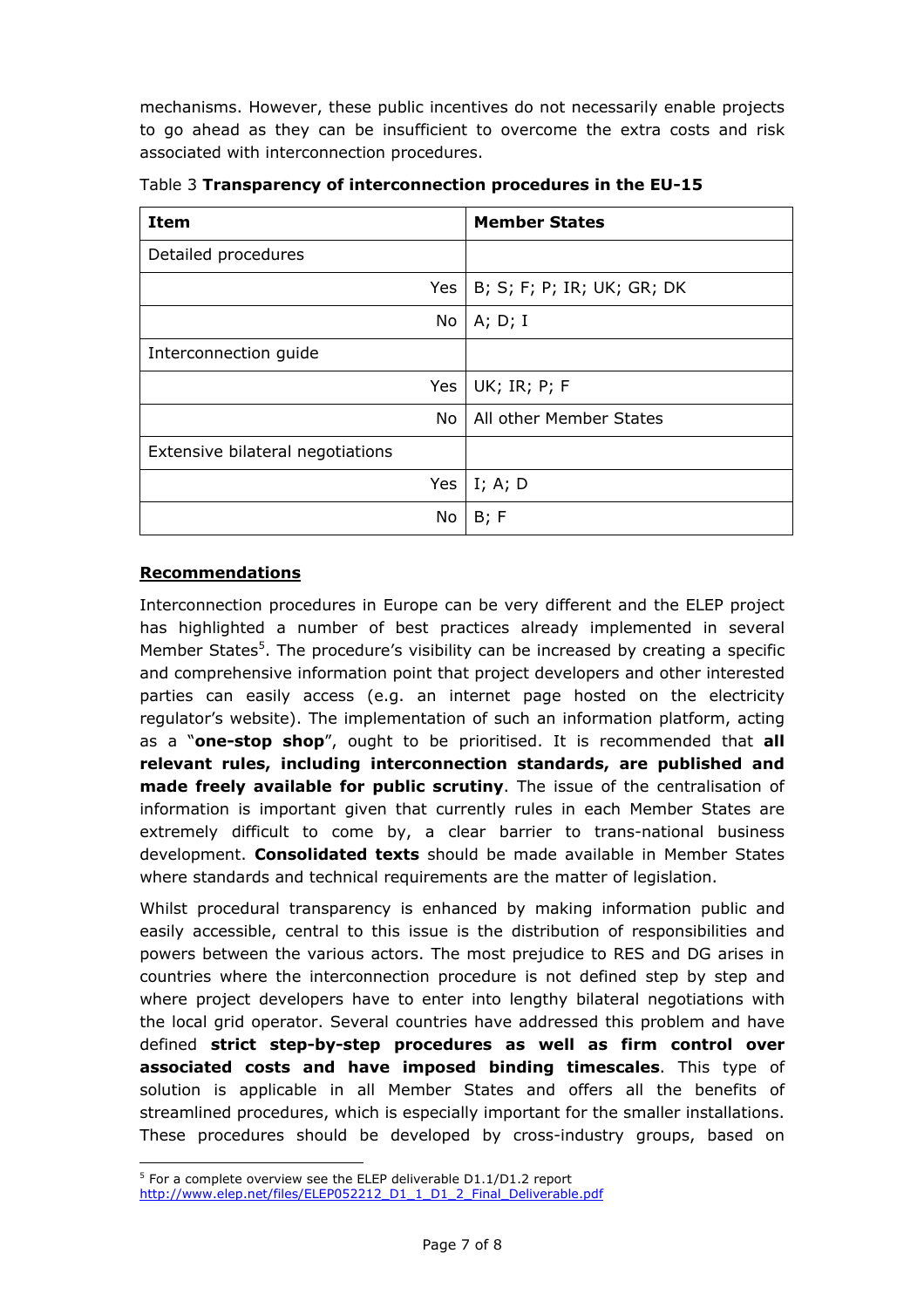mechanisms. However, these public incentives do not necessarily enable projects to go ahead as they can be insufficient to overcome the extra costs and risk associated with interconnection procedures.

| Item                             | <b>Member States</b>       |
|----------------------------------|----------------------------|
| Detailed procedures              |                            |
| Yes                              | B; S; F; P; IR; UK; GR; DK |
| No                               | A; D; I                    |
| Interconnection guide            |                            |
| <b>Yes</b>                       | UK; IR; P; F               |
| No.                              | All other Member States    |
| Extensive bilateral negotiations |                            |
| Yes                              | I; A; D                    |
| No                               | B; F                       |

Table 3 **Transparency of interconnection procedures in the EU-15**

#### **Recommendations**

 $\overline{a}$ 

Interconnection procedures in Europe can be very different and the ELEP project has highlighted a number of best practices already implemented in several Member States<sup>[5](#page-6-0)</sup>. The procedure's visibility can be increased by creating a specific and comprehensive information point that project developers and other interested parties can easily access (e.g. an internet page hosted on the electricity regulator's website). The implementation of such an information platform, acting as a "**one-stop shop**", ought to be prioritised. It is recommended that **all relevant rules, including interconnection standards, are published and made freely available for public scrutiny**. The issue of the centralisation of information is important given that currently rules in each Member States are extremely difficult to come by, a clear barrier to trans-national business development. **Consolidated texts** should be made available in Member States where standards and technical requirements are the matter of legislation.

Whilst procedural transparency is enhanced by making information public and easily accessible, central to this issue is the distribution of responsibilities and powers between the various actors. The most prejudice to RES and DG arises in countries where the interconnection procedure is not defined step by step and where project developers have to enter into lengthy bilateral negotiations with the local grid operator. Several countries have addressed this problem and have defined **strict step-by-step procedures as well as firm control over associated costs and have imposed binding timescales**. This type of solution is applicable in all Member States and offers all the benefits of streamlined procedures, which is especially important for the smaller installations. These procedures should be developed by cross-industry groups, based on

<span id="page-6-0"></span> $5$  For a complete overview see the ELEP deliverable D1.1/D1.2 report [http://www.elep.net/files/ELEP052212\\_D1\\_1\\_D1\\_2\\_Final\\_Deliverable.pdf](http://www.elep.net/files/ELEP052212_D1_1_D1_2_Final_Deliverable.pdf)